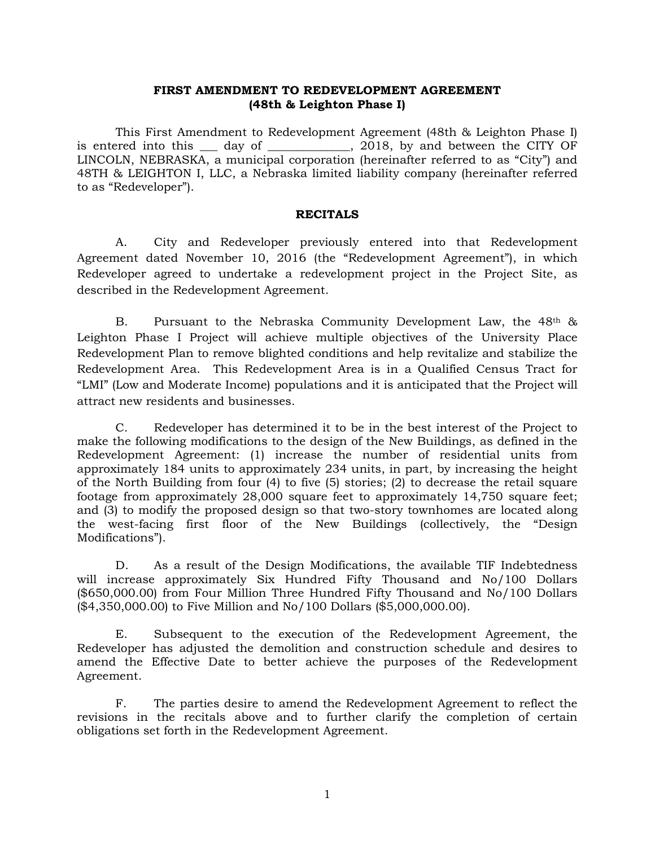#### **FIRST AMENDMENT TO REDEVELOPMENT AGREEMENT (48th & Leighton Phase I)**

This First Amendment to Redevelopment Agreement (48th & Leighton Phase I) is entered into this day of  $\qquad \qquad$ , 2018, by and between the CITY OF LINCOLN, NEBRASKA, a municipal corporation (hereinafter referred to as "City") and 48TH & LEIGHTON I, LLC, a Nebraska limited liability company (hereinafter referred to as "Redeveloper").

#### **RECITALS**

A. City and Redeveloper previously entered into that Redevelopment Agreement dated November 10, 2016 (the "Redevelopment Agreement"), in which Redeveloper agreed to undertake a redevelopment project in the Project Site, as described in the Redevelopment Agreement.

B. Pursuant to the Nebraska Community Development Law, the  $48<sup>th</sup>$  & Leighton Phase I Project will achieve multiple objectives of the University Place Redevelopment Plan to remove blighted conditions and help revitalize and stabilize the Redevelopment Area. This Redevelopment Area is in a Qualified Census Tract for "LMI" (Low and Moderate Income) populations and it is anticipated that the Project will attract new residents and businesses.

C. Redeveloper has determined it to be in the best interest of the Project to make the following modifications to the design of the New Buildings, as defined in the Redevelopment Agreement: (1) increase the number of residential units from approximately 184 units to approximately 234 units, in part, by increasing the height of the North Building from four (4) to five (5) stories; (2) to decrease the retail square footage from approximately 28,000 square feet to approximately 14,750 square feet; and (3) to modify the proposed design so that two-story townhomes are located along the west-facing first floor of the New Buildings (collectively, the "Design Modifications").

D. As a result of the Design Modifications, the available TIF Indebtedness will increase approximately Six Hundred Fifty Thousand and No/100 Dollars (\$650,000.00) from Four Million Three Hundred Fifty Thousand and No/100 Dollars (\$4,350,000.00) to Five Million and No/100 Dollars (\$5,000,000.00).

E. Subsequent to the execution of the Redevelopment Agreement, the Redeveloper has adjusted the demolition and construction schedule and desires to amend the Effective Date to better achieve the purposes of the Redevelopment Agreement.

F. The parties desire to amend the Redevelopment Agreement to reflect the revisions in the recitals above and to further clarify the completion of certain obligations set forth in the Redevelopment Agreement.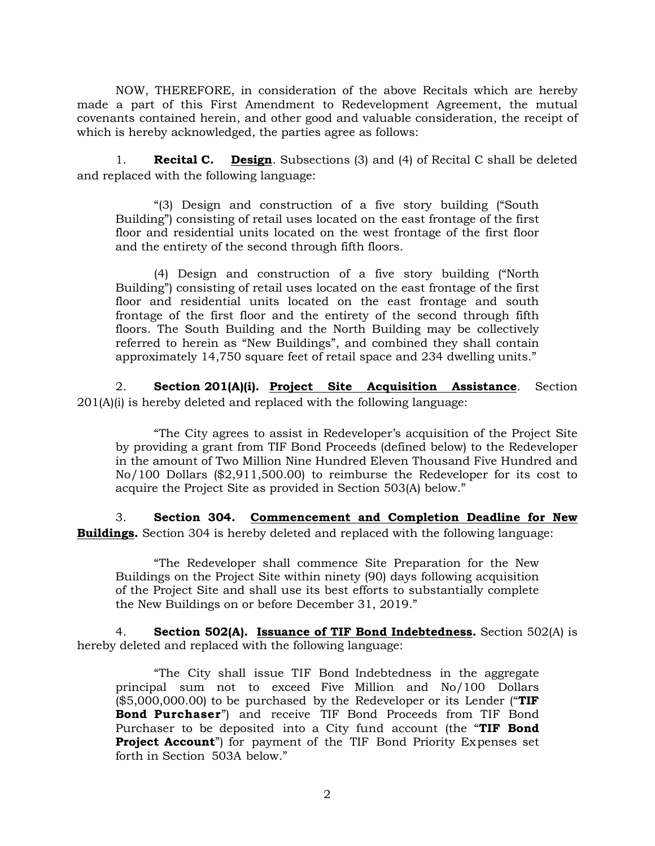NOW, THEREFORE, in consideration of the above Recitals which are hereby made a part of this First Amendment to Redevelopment Agreement, the mutual covenants contained herein, and other good and valuable consideration, the receipt of which is hereby acknowledged, the parties agree as follows:

1. **Recital C. Design**. Subsections (3) and (4) of Recital C shall be deleted and replaced with the following language:

"(3) Design and construction of a five story building ("South Building") consisting of retail uses located on the east frontage of the first floor and residential units located on the west frontage of the first floor and the entirety of the second through fifth floors.

(4) Design and construction of a five story building ("North Building") consisting of retail uses located on the east frontage of the first floor and residential units located on the east frontage and south frontage of the first floor and the entirety of the second through fifth floors. The South Building and the North Building may be collectively referred to herein as "New Buildings", and combined they shall contain approximately 14,750 square feet of retail space and 234 dwelling units."

2. **Section 201(A)(i). Project Site Acquisition Assistance**. Section 201(A)(i) is hereby deleted and replaced with the following language:

"The City agrees to assist in Redeveloper's acquisition of the Project Site by providing a grant from TIF Bond Proceeds (defined below) to the Redeveloper in the amount of Two Million Nine Hundred Eleven Thousand Five Hundred and No/100 Dollars (\$2,911,500.00) to reimburse the Redeveloper for its cost to acquire the Project Site as provided in Section 503(A) below."

3. **Section 304. Commencement and Completion Deadline for New Buildings.** Section 304 is hereby deleted and replaced with the following language:

"The Redeveloper shall commence Site Preparation for the New Buildings on the Project Site within ninety (90) days following acquisition of the Project Site and shall use its best efforts to substantially complete the New Buildings on or before December 31, 2019."

4. **Section 502(A). Issuance of TIF Bond Indebtedness.** Section 502(A) is hereby deleted and replaced with the following language:

"The City shall issue TIF Bond Indebtedness in the aggregate principal sum not to exceed Five Million and No/100 Dollars (\$5,000,000.00) to be purchased by the Redeveloper or its Lender ("**TIF Bond Purchaser**") and receive TIF Bond Proceeds from TIF Bond Purchaser to be deposited into a City fund account (the "**TIF Bond Project Account**") for payment of the TIF Bond Priority Expenses set forth in Section 503A below."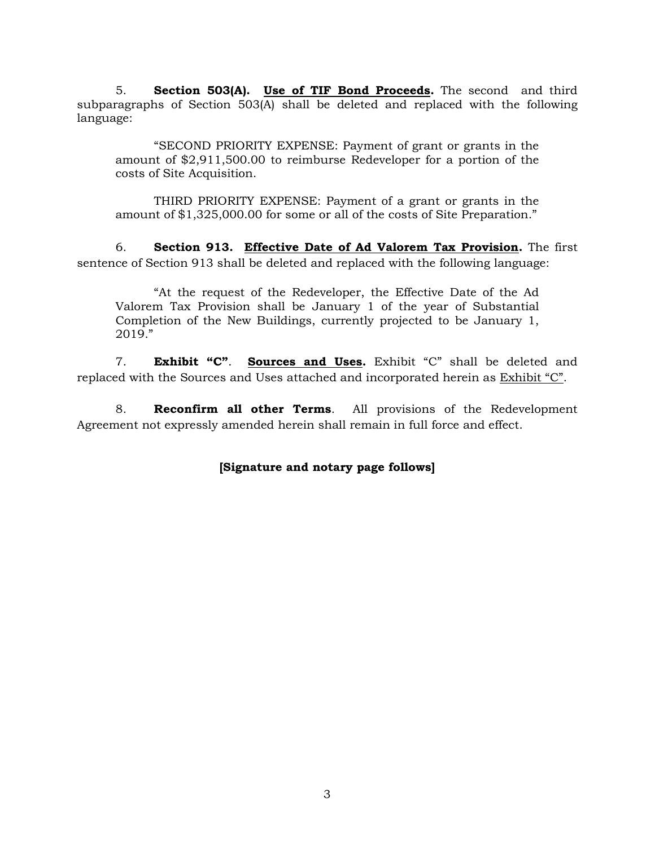5. **Section 503(A). Use of TIF Bond Proceeds.** The second and third subparagraphs of Section 503(A) shall be deleted and replaced with the following language:

"SECOND PRIORITY EXPENSE: Payment of grant or grants in the amount of \$2,911,500.00 to reimburse Redeveloper for a portion of the costs of Site Acquisition.

THIRD PRIORITY EXPENSE: Payment of a grant or grants in the amount of \$1,325,000.00 for some or all of the costs of Site Preparation."

6. **Section 913. Effective Date of Ad Valorem Tax Provision.** The first sentence of Section 913 shall be deleted and replaced with the following language:

"At the request of the Redeveloper, the Effective Date of the Ad Valorem Tax Provision shall be January 1 of the year of Substantial Completion of the New Buildings, currently projected to be January 1, 2019."

7. **Exhibit "C"**. **Sources and Uses.** Exhibit "C" shall be deleted and replaced with the Sources and Uses attached and incorporated herein as Exhibit "C".

8. **Reconfirm all other Terms**. All provisions of the Redevelopment Agreement not expressly amended herein shall remain in full force and effect.

## **[Signature and notary page follows]**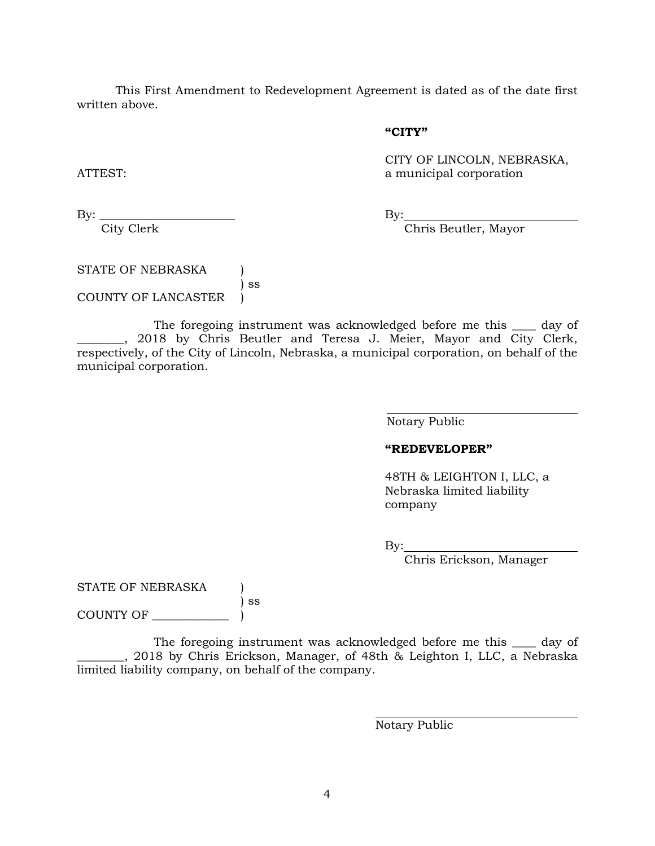This First Amendment to Redevelopment Agreement is dated as of the date first written above.

#### **"CITY"**

CITY OF LINCOLN, NEBRASKA, ATTEST: a municipal corporation

By: \_\_\_\_\_\_\_\_\_\_\_\_\_\_\_\_\_\_\_\_\_\_\_ By: City Clerk Chris Beutler, Mayor

STATE OF NEBRASKA (1) ) ss COUNTY OF LANCASTER )

The foregoing instrument was acknowledged before me this \_\_\_\_ day of \_\_\_\_\_\_\_, 2018 by Chris Beutler and Teresa J. Meier, Mayor and City Clerk, respectively, of the City of Lincoln, Nebraska, a municipal corporation, on behalf of the municipal corporation.

Notary Public

### **"REDEVELOPER"**

48TH & LEIGHTON I, LLC, a Nebraska limited liability company

By:

Chris Erickson, Manager

STATE OF NEBRASKA

) ss COUNTY OF \_\_\_\_\_

The foregoing instrument was acknowledged before me this \_\_\_\_ day of \_\_\_\_\_\_\_\_, 2018 by Chris Erickson, Manager, of 48th & Leighton I, LLC, a Nebraska limited liability company, on behalf of the company.

Notary Public